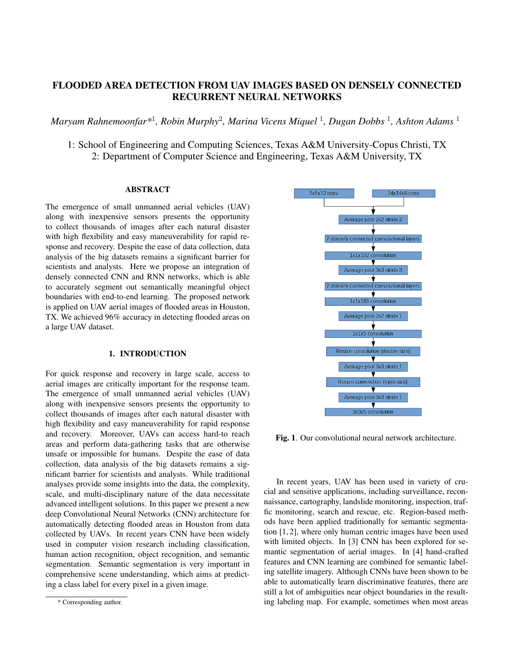# FLOODED AREA DETECTION FROM UAV IMAGES BASED ON DENSELY CONNECTED RECURRENT NEURAL NETWORKS

*Maryam Rahnemoonfar\**<sup>1</sup> *, Robin Murphy*<sup>2</sup> *, Marina Vicens Miquel* <sup>1</sup> *, Dugan Dobbs* <sup>1</sup> *, Ashton Adams* <sup>1</sup>

1: School of Engineering and Computing Sciences, Texas A&M University-Copus Christi, TX 2: Department of Computer Science and Engineering, Texas A&M University, TX

# ABSTRACT

The emergence of small unmanned aerial vehicles (UAV) along with inexpensive sensors presents the opportunity to collect thousands of images after each natural disaster with high flexibility and easy maneuverability for rapid response and recovery. Despite the ease of data collection, data analysis of the big datasets remains a significant barrier for scientists and analysts. Here we propose an integration of densely connected CNN and RNN networks, which is able to accurately segment out semantically meaningful object boundaries with end-to-end learning. The proposed network is applied on UAV aerial images of flooded areas in Houston, TX. We achieved 96% accuracy in detecting flooded areas on a large UAV dataset.

#### 1. INTRODUCTION

For quick response and recovery in large scale, access to aerial images are critically important for the response team. The emergence of small unmanned aerial vehicles (UAV) along with inexpensive sensors presents the opportunity to collect thousands of images after each natural disaster with high flexibility and easy maneuverability for rapid response and recovery. Moreover, UAVs can access hard-to reach areas and perform data-gathering tasks that are otherwise unsafe or impossible for humans. Despite the ease of data collection, data analysis of the big datasets remains a significant barrier for scientists and analysts. While traditional analyses provide some insights into the data, the complexity, scale, and multi-disciplinary nature of the data necessitate advanced intelligent solutions. In this paper we present a new deep Convolutional Neural Networks (CNN) architecture for automatically detecting flooded areas in Houston from data collected by UAVs. In recent years CNN have been widely used in computer vision research including classification, human action recognition, object recognition, and semantic segmentation. Semantic segmentation is very important in comprehensive scene understanding, which aims at predicting a class label for every pixel in a given image.



Fig. 1. Our convolutional neural network architecture.

In recent years, UAV has been used in variety of crucial and sensitive applications, including surveillance, reconnaissance, cartography, landslide monitoring, inspection, traffic monitoring, search and rescue, etc. Region-based methods have been applied traditionally for semantic segmentation [1, 2], where only human centric images have been used with limited objects. In [3] CNN has been explored for semantic segmentation of aerial images. In [4] hand-crafted features and CNN learning are combined for semantic labeling satellite imagery. Although CNNs have been shown to be able to automatically learn discriminative features, there are still a lot of ambiguities near object boundaries in the resulting labeling map. For example, sometimes when most areas

<sup>\*</sup> Corresponding author.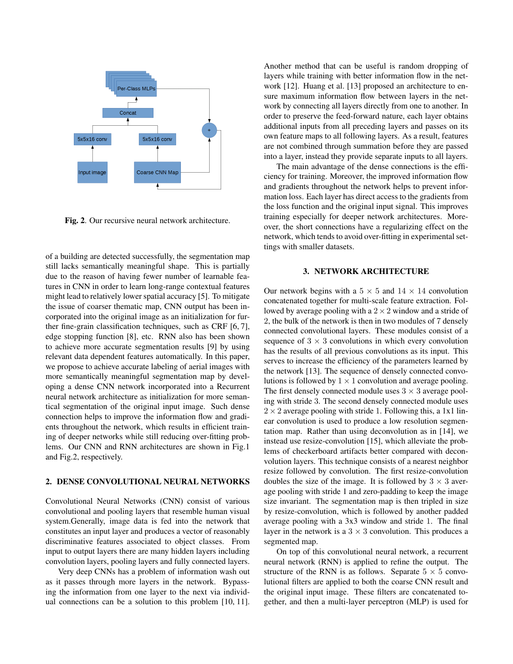

Fig. 2. Our recursive neural network architecture.

of a building are detected successfully, the segmentation map still lacks semantically meaningful shape. This is partially due to the reason of having fewer number of learnable features in CNN in order to learn long-range contextual features might lead to relatively lower spatial accuracy [5]. To mitigate the issue of coarser thematic map, CNN output has been incorporated into the original image as an initialization for further fine-grain classification techniques, such as CRF [6, 7], edge stopping function [8], etc. RNN also has been shown to achieve more accurate segmentation results [9] by using relevant data dependent features automatically. In this paper, we propose to achieve accurate labeling of aerial images with more semantically meaningful segmentation map by developing a dense CNN network incorporated into a Recurrent neural network architecture as initialization for more semantical segmentation of the original input image. Such dense connection helps to improve the information flow and gradients throughout the network, which results in efficient training of deeper networks while still reducing over-fitting problems. Our CNN and RNN architectures are shown in Fig.1 and Fig.2, respectively.

#### 2. DENSE CONVOLUTIONAL NEURAL NETWORKS

Convolutional Neural Networks (CNN) consist of various convolutional and pooling layers that resemble human visual system.Generally, image data is fed into the network that constitutes an input layer and produces a vector of reasonably discriminative features associated to object classes. From input to output layers there are many hidden layers including convolution layers, pooling layers and fully connected layers.

Very deep CNNs has a problem of information wash out as it passes through more layers in the network. Bypassing the information from one layer to the next via individual connections can be a solution to this problem [10, 11].

Another method that can be useful is random dropping of layers while training with better information flow in the network [12]. Huang et al. [13] proposed an architecture to ensure maximum information flow between layers in the network by connecting all layers directly from one to another. In order to preserve the feed-forward nature, each layer obtains additional inputs from all preceding layers and passes on its own feature maps to all following layers. As a result, features are not combined through summation before they are passed into a layer, instead they provide separate inputs to all layers.

The main advantage of the dense connections is the efficiency for training. Moreover, the improved information flow and gradients throughout the network helps to prevent information loss. Each layer has direct access to the gradients from the loss function and the original input signal. This improves training especially for deeper network architectures. Moreover, the short connections have a regularizing effect on the network, which tends to avoid over-fitting in experimental settings with smaller datasets.

#### 3. NETWORK ARCHITECTURE

Our network begins with a  $5 \times 5$  and  $14 \times 14$  convolution concatenated together for multi-scale feature extraction. Followed by average pooling with a  $2 \times 2$  window and a stride of 2, the bulk of the network is then in two modules of 7 densely connected convolutional layers. These modules consist of a sequence of  $3 \times 3$  convolutions in which every convolution has the results of all previous convolutions as its input. This serves to increase the efficiency of the parameters learned by the network [13]. The sequence of densely connected convolutions is followed by  $1 \times 1$  convolution and average pooling. The first densely connected module uses  $3 \times 3$  average pooling with stride 3. The second densely connected module uses  $2 \times 2$  average pooling with stride 1. Following this, a 1x1 linear convolution is used to produce a low resolution segmentation map. Rather than using deconvolution as in [14], we instead use resize-convolution [15], which alleviate the problems of checkerboard artifacts better compared with deconvolution layers. This technique consists of a nearest neighbor resize followed by convolution. The first resize-convolution doubles the size of the image. It is followed by  $3 \times 3$  average pooling with stride 1 and zero-padding to keep the image size invariant. The segmentation map is then tripled in size by resize-convolution, which is followed by another padded average pooling with a 3x3 window and stride 1. The final layer in the network is a  $3 \times 3$  convolution. This produces a segmented map.

On top of this convolutional neural network, a recurrent neural network (RNN) is applied to refine the output. The structure of the RNN is as follows. Separate  $5 \times 5$  convolutional filters are applied to both the coarse CNN result and the original input image. These filters are concatenated together, and then a multi-layer perceptron (MLP) is used for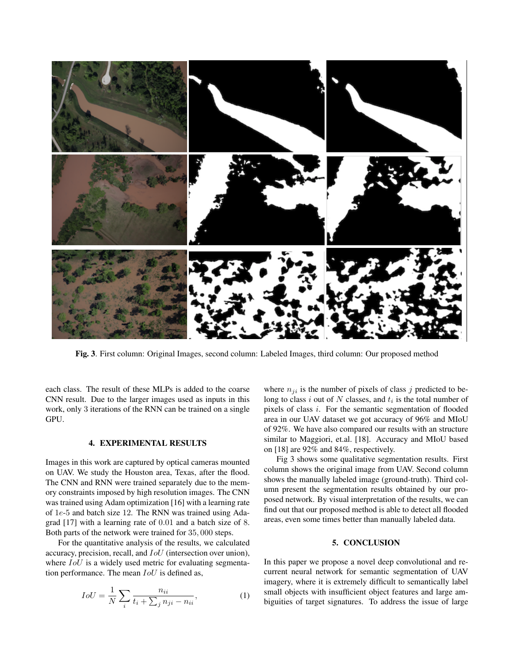

Fig. 3. First column: Original Images, second column: Labeled Images, third column: Our proposed method

each class. The result of these MLPs is added to the coarse CNN result. Due to the larger images used as inputs in this work, only 3 iterations of the RNN can be trained on a single GPU.

## 4. EXPERIMENTAL RESULTS

Images in this work are captured by optical cameras mounted on UAV. We study the Houston area, Texas, after the flood. The CNN and RNN were trained separately due to the memory constraints imposed by high resolution images. The CNN was trained using Adam optimization [16] with a learning rate of 1e-5 and batch size 12. The RNN was trained using Adagrad [17] with a learning rate of 0.01 and a batch size of 8. Both parts of the network were trained for 35, 000 steps.

For the quantitative analysis of the results, we calculated accuracy, precision, recall, and IoU (intersection over union), where  $IoU$  is a widely used metric for evaluating segmentation performance. The mean  $IoU$  is defined as,

$$
IoU = \frac{1}{N} \sum_{i} \frac{n_{ii}}{t_i + \sum_{j} n_{ji} - n_{ii}},
$$
\n(1)

where  $n_{ji}$  is the number of pixels of class j predicted to belong to class i out of N classes, and  $t_i$  is the total number of pixels of class i. For the semantic segmentation of flooded area in our UAV dataset we got accuracy of 96% and MIoU of 92%. We have also compared our results with an structure similar to Maggiori, et.al. [18]. Accuracy and MIoU based on [18] are 92% and 84%, respectively.

Fig 3 shows some qualitative segmentation results. First column shows the original image from UAV. Second column shows the manually labeled image (ground-truth). Third column present the segmentation results obtained by our proposed network. By visual interpretation of the results, we can find out that our proposed method is able to detect all flooded areas, even some times better than manually labeled data.

#### 5. CONCLUSION

In this paper we propose a novel deep convolutional and recurrent neural network for semantic segmentation of UAV imagery, where it is extremely difficult to semantically label small objects with insufficient object features and large ambiguities of target signatures. To address the issue of large